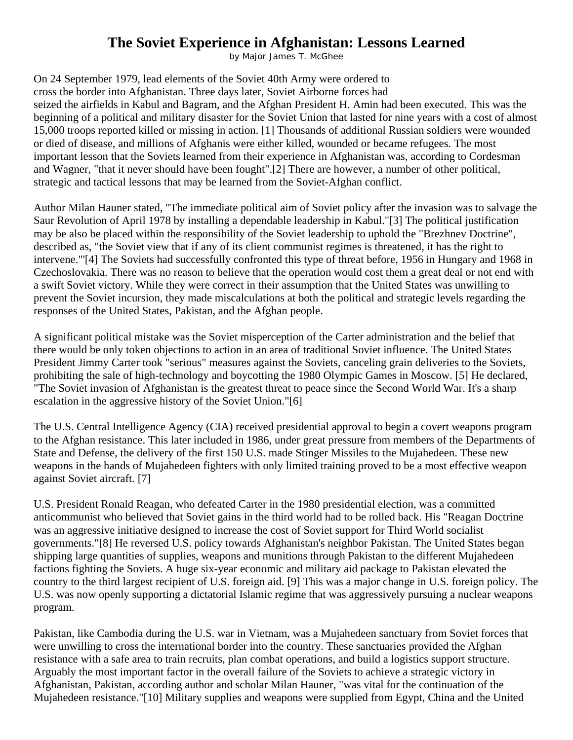## **The Soviet Experience in Afghanistan: Lessons Learned**

by Major James T. McGhee

On 24 September 1979, lead elements of the Soviet 40th Army were ordered to cross the border into Afghanistan. Three days later, Soviet Airborne forces had seized the airfields in Kabul and Bagram, and the Afghan President H. Amin had been executed. This was the beginning of a political and military disaster for the Soviet Union that lasted for nine years with a cost of almost 15,000 troops reported killed or missing in action. [1] Thousands of additional Russian soldiers were wounded or died of disease, and millions of Afghanis were either killed, wounded or became refugees. The most important lesson that the Soviets learned from their experience in Afghanistan was, according to Cordesman and Wagner, "that it never should have been fought".[2] There are however, a number of other political, strategic and tactical lessons that may be learned from the Soviet-Afghan conflict.

Author Milan Hauner stated, "The immediate political aim of Soviet policy after the invasion was to salvage the Saur Revolution of April 1978 by installing a dependable leadership in Kabul."[3] The political justification may be also be placed within the responsibility of the Soviet leadership to uphold the "Brezhnev Doctrine", described as, "the Soviet view that if any of its client communist regimes is threatened, it has the right to intervene."'[4] The Soviets had successfully confronted this type of threat before, 1956 in Hungary and 1968 in Czechoslovakia. There was no reason to believe that the operation would cost them a great deal or not end with a swift Soviet victory. While they were correct in their assumption that the United States was unwilling to prevent the Soviet incursion, they made miscalculations at both the political and strategic levels regarding the responses of the United States, Pakistan, and the Afghan people.

A significant political mistake was the Soviet misperception of the Carter administration and the belief that there would be only token objections to action in an area of traditional Soviet influence. The United States President Jimmy Carter took "serious" measures against the Soviets, canceling grain deliveries to the Soviets, prohibiting the sale of high-technology and boycotting the 1980 Olympic Games in Moscow. [5] He declared, "The Soviet invasion of Afghanistan is the greatest threat to peace since the Second World War. It's a sharp escalation in the aggressive history of the Soviet Union."[6]

The U.S. Central Intelligence Agency (CIA) received presidential approval to begin a covert weapons program to the Afghan resistance. This later included in 1986, under great pressure from members of the Departments of State and Defense, the delivery of the first 150 U.S. made Stinger Missiles to the Mujahedeen. These new weapons in the hands of Mujahedeen fighters with only limited training proved to be a most effective weapon against Soviet aircraft. [7]

U.S. President Ronald Reagan, who defeated Carter in the 1980 presidential election, was a committed anticommunist who believed that Soviet gains in the third world had to be rolled back. His "Reagan Doctrine was an aggressive initiative designed to increase the cost of Soviet support for Third World socialist governments."[8] He reversed U.S. policy towards Afghanistan's neighbor Pakistan. The United States began shipping large quantities of supplies, weapons and munitions through Pakistan to the different Mujahedeen factions fighting the Soviets. A huge six-year economic and military aid package to Pakistan elevated the country to the third largest recipient of U.S. foreign aid. [9] This was a major change in U.S. foreign policy. The U.S. was now openly supporting a dictatorial Islamic regime that was aggressively pursuing a nuclear weapons program.

Pakistan, like Cambodia during the U.S. war in Vietnam, was a Mujahedeen sanctuary from Soviet forces that were unwilling to cross the international border into the country. These sanctuaries provided the Afghan resistance with a safe area to train recruits, plan combat operations, and build a logistics support structure. Arguably the most important factor in the overall failure of the Soviets to achieve a strategic victory in Afghanistan, Pakistan, according author and scholar Milan Hauner, "was vital for the continuation of the Mujahedeen resistance."[10] Military supplies and weapons were supplied from Egypt, China and the United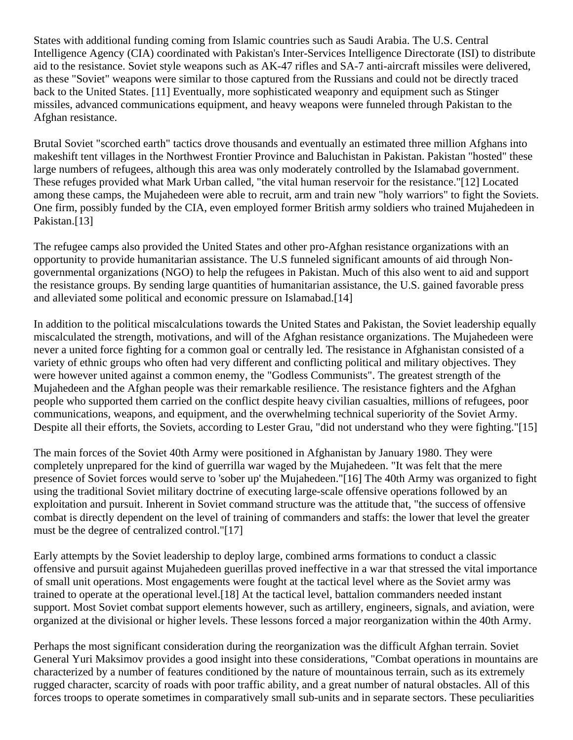States with additional funding coming from Islamic countries such as Saudi Arabia. The U.S. Central Intelligence Agency (CIA) coordinated with Pakistan's Inter-Services Intelligence Directorate (ISI) to distribute aid to the resistance. Soviet style weapons such as AK-47 rifles and SA-7 anti-aircraft missiles were delivered, as these "Soviet" weapons were similar to those captured from the Russians and could not be directly traced back to the United States. [11] Eventually, more sophisticated weaponry and equipment such as Stinger missiles, advanced communications equipment, and heavy weapons were funneled through Pakistan to the Afghan resistance.

Brutal Soviet "scorched earth" tactics drove thousands and eventually an estimated three million Afghans into makeshift tent villages in the Northwest Frontier Province and Baluchistan in Pakistan. Pakistan "hosted" these large numbers of refugees, although this area was only moderately controlled by the Islamabad government. These refuges provided what Mark Urban called, "the vital human reservoir for the resistance."[12] Located among these camps, the Mujahedeen were able to recruit, arm and train new "holy warriors" to fight the Soviets. One firm, possibly funded by the CIA, even employed former British army soldiers who trained Mujahedeen in Pakistan.<sup>[13]</sup>

The refugee camps also provided the United States and other pro-Afghan resistance organizations with an opportunity to provide humanitarian assistance. The U.S funneled significant amounts of aid through Nongovernmental organizations (NGO) to help the refugees in Pakistan. Much of this also went to aid and support the resistance groups. By sending large quantities of humanitarian assistance, the U.S. gained favorable press and alleviated some political and economic pressure on Islamabad.[14]

In addition to the political miscalculations towards the United States and Pakistan, the Soviet leadership equally miscalculated the strength, motivations, and will of the Afghan resistance organizations. The Mujahedeen were never a united force fighting for a common goal or centrally led. The resistance in Afghanistan consisted of a variety of ethnic groups who often had very different and conflicting political and military objectives. They were however united against a common enemy, the "Godless Communists". The greatest strength of the Mujahedeen and the Afghan people was their remarkable resilience. The resistance fighters and the Afghan people who supported them carried on the conflict despite heavy civilian casualties, millions of refugees, poor communications, weapons, and equipment, and the overwhelming technical superiority of the Soviet Army. Despite all their efforts, the Soviets, according to Lester Grau, "did not understand who they were fighting."[15]

The main forces of the Soviet 40th Army were positioned in Afghanistan by January 1980. They were completely unprepared for the kind of guerrilla war waged by the Mujahedeen. "It was felt that the mere presence of Soviet forces would serve to 'sober up' the Mujahedeen."[16] The 40th Army was organized to fight using the traditional Soviet military doctrine of executing large-scale offensive operations followed by an exploitation and pursuit. Inherent in Soviet command structure was the attitude that, "the success of offensive combat is directly dependent on the level of training of commanders and staffs: the lower that level the greater must be the degree of centralized control."[17]

Early attempts by the Soviet leadership to deploy large, combined arms formations to conduct a classic offensive and pursuit against Mujahedeen guerillas proved ineffective in a war that stressed the vital importance of small unit operations. Most engagements were fought at the tactical level where as the Soviet army was trained to operate at the operational level.[18] At the tactical level, battalion commanders needed instant support. Most Soviet combat support elements however, such as artillery, engineers, signals, and aviation, were organized at the divisional or higher levels. These lessons forced a major reorganization within the 40th Army.

Perhaps the most significant consideration during the reorganization was the difficult Afghan terrain. Soviet General Yuri Maksimov provides a good insight into these considerations, "Combat operations in mountains are characterized by a number of features conditioned by the nature of mountainous terrain, such as its extremely rugged character, scarcity of roads with poor traffic ability, and a great number of natural obstacles. All of this forces troops to operate sometimes in comparatively small sub-units and in separate sectors. These peculiarities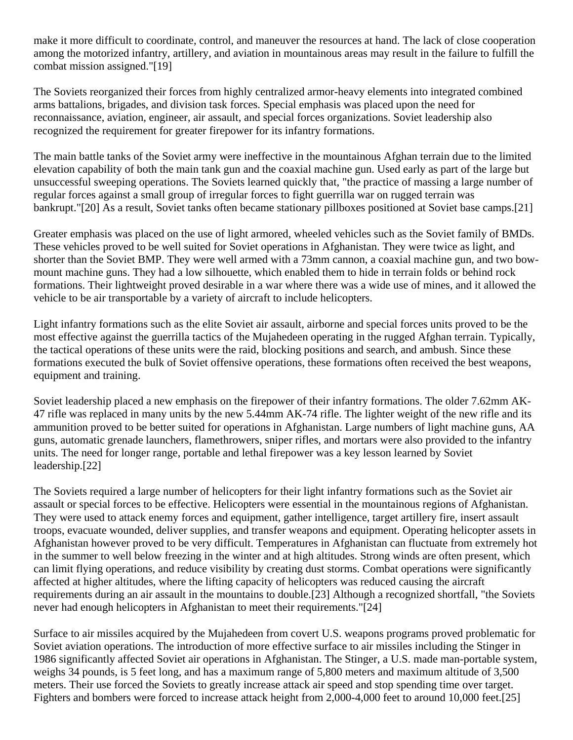make it more difficult to coordinate, control, and maneuver the resources at hand. The lack of close cooperation among the motorized infantry, artillery, and aviation in mountainous areas may result in the failure to fulfill the combat mission assigned."[19]

The Soviets reorganized their forces from highly centralized armor-heavy elements into integrated combined arms battalions, brigades, and division task forces. Special emphasis was placed upon the need for reconnaissance, aviation, engineer, air assault, and special forces organizations. Soviet leadership also recognized the requirement for greater firepower for its infantry formations.

The main battle tanks of the Soviet army were ineffective in the mountainous Afghan terrain due to the limited elevation capability of both the main tank gun and the coaxial machine gun. Used early as part of the large but unsuccessful sweeping operations. The Soviets learned quickly that, "the practice of massing a large number of regular forces against a small group of irregular forces to fight guerrilla war on rugged terrain was bankrupt."[20] As a result, Soviet tanks often became stationary pillboxes positioned at Soviet base camps.[21]

Greater emphasis was placed on the use of light armored, wheeled vehicles such as the Soviet family of BMDs. These vehicles proved to be well suited for Soviet operations in Afghanistan. They were twice as light, and shorter than the Soviet BMP. They were well armed with a 73mm cannon, a coaxial machine gun, and two bowmount machine guns. They had a low silhouette, which enabled them to hide in terrain folds or behind rock formations. Their lightweight proved desirable in a war where there was a wide use of mines, and it allowed the vehicle to be air transportable by a variety of aircraft to include helicopters.

Light infantry formations such as the elite Soviet air assault, airborne and special forces units proved to be the most effective against the guerrilla tactics of the Mujahedeen operating in the rugged Afghan terrain. Typically, the tactical operations of these units were the raid, blocking positions and search, and ambush. Since these formations executed the bulk of Soviet offensive operations, these formations often received the best weapons, equipment and training.

Soviet leadership placed a new emphasis on the firepower of their infantry formations. The older 7.62mm AK-47 rifle was replaced in many units by the new 5.44mm AK-74 rifle. The lighter weight of the new rifle and its ammunition proved to be better suited for operations in Afghanistan. Large numbers of light machine guns, AA guns, automatic grenade launchers, flamethrowers, sniper rifles, and mortars were also provided to the infantry units. The need for longer range, portable and lethal firepower was a key lesson learned by Soviet leadership.[22]

The Soviets required a large number of helicopters for their light infantry formations such as the Soviet air assault or special forces to be effective. Helicopters were essential in the mountainous regions of Afghanistan. They were used to attack enemy forces and equipment, gather intelligence, target artillery fire, insert assault troops, evacuate wounded, deliver supplies, and transfer weapons and equipment. Operating helicopter assets in Afghanistan however proved to be very difficult. Temperatures in Afghanistan can fluctuate from extremely hot in the summer to well below freezing in the winter and at high altitudes. Strong winds are often present, which can limit flying operations, and reduce visibility by creating dust storms. Combat operations were significantly affected at higher altitudes, where the lifting capacity of helicopters was reduced causing the aircraft requirements during an air assault in the mountains to double.[23] Although a recognized shortfall, "the Soviets never had enough helicopters in Afghanistan to meet their requirements."[24]

Surface to air missiles acquired by the Mujahedeen from covert U.S. weapons programs proved problematic for Soviet aviation operations. The introduction of more effective surface to air missiles including the Stinger in 1986 significantly affected Soviet air operations in Afghanistan. The Stinger, a U.S. made man-portable system, weighs 34 pounds, is 5 feet long, and has a maximum range of 5,800 meters and maximum altitude of 3,500 meters. Their use forced the Soviets to greatly increase attack air speed and stop spending time over target. Fighters and bombers were forced to increase attack height from 2,000-4,000 feet to around 10,000 feet.[25]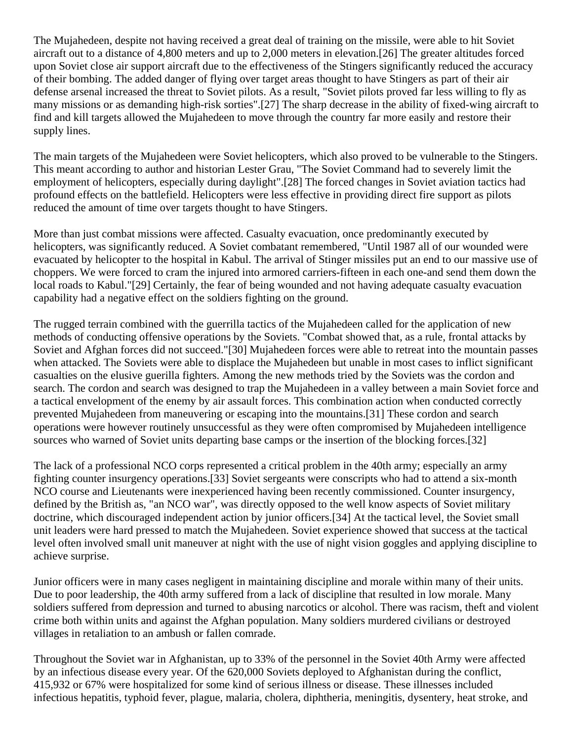The Mujahedeen, despite not having received a great deal of training on the missile, were able to hit Soviet aircraft out to a distance of 4,800 meters and up to 2,000 meters in elevation.[26] The greater altitudes forced upon Soviet close air support aircraft due to the effectiveness of the Stingers significantly reduced the accuracy of their bombing. The added danger of flying over target areas thought to have Stingers as part of their air defense arsenal increased the threat to Soviet pilots. As a result, "Soviet pilots proved far less willing to fly as many missions or as demanding high-risk sorties".[27] The sharp decrease in the ability of fixed-wing aircraft to find and kill targets allowed the Mujahedeen to move through the country far more easily and restore their supply lines.

The main targets of the Mujahedeen were Soviet helicopters, which also proved to be vulnerable to the Stingers. This meant according to author and historian Lester Grau, "The Soviet Command had to severely limit the employment of helicopters, especially during daylight".[28] The forced changes in Soviet aviation tactics had profound effects on the battlefield. Helicopters were less effective in providing direct fire support as pilots reduced the amount of time over targets thought to have Stingers.

More than just combat missions were affected. Casualty evacuation, once predominantly executed by helicopters, was significantly reduced. A Soviet combatant remembered, "Until 1987 all of our wounded were evacuated by helicopter to the hospital in Kabul. The arrival of Stinger missiles put an end to our massive use of choppers. We were forced to cram the injured into armored carriers-fifteen in each one-and send them down the local roads to Kabul."[29] Certainly, the fear of being wounded and not having adequate casualty evacuation capability had a negative effect on the soldiers fighting on the ground.

The rugged terrain combined with the guerrilla tactics of the Mujahedeen called for the application of new methods of conducting offensive operations by the Soviets. "Combat showed that, as a rule, frontal attacks by Soviet and Afghan forces did not succeed."[30] Mujahedeen forces were able to retreat into the mountain passes when attacked. The Soviets were able to displace the Mujahedeen but unable in most cases to inflict significant casualties on the elusive guerilla fighters. Among the new methods tried by the Soviets was the cordon and search. The cordon and search was designed to trap the Mujahedeen in a valley between a main Soviet force and a tactical envelopment of the enemy by air assault forces. This combination action when conducted correctly prevented Mujahedeen from maneuvering or escaping into the mountains.[31] These cordon and search operations were however routinely unsuccessful as they were often compromised by Mujahedeen intelligence sources who warned of Soviet units departing base camps or the insertion of the blocking forces.[32]

The lack of a professional NCO corps represented a critical problem in the 40th army; especially an army fighting counter insurgency operations.[33] Soviet sergeants were conscripts who had to attend a six-month NCO course and Lieutenants were inexperienced having been recently commissioned. Counter insurgency, defined by the British as, "an NCO war", was directly opposed to the well know aspects of Soviet military doctrine, which discouraged independent action by junior officers.[34] At the tactical level, the Soviet small unit leaders were hard pressed to match the Mujahedeen. Soviet experience showed that success at the tactical level often involved small unit maneuver at night with the use of night vision goggles and applying discipline to achieve surprise.

Junior officers were in many cases negligent in maintaining discipline and morale within many of their units. Due to poor leadership, the 40th army suffered from a lack of discipline that resulted in low morale. Many soldiers suffered from depression and turned to abusing narcotics or alcohol. There was racism, theft and violent crime both within units and against the Afghan population. Many soldiers murdered civilians or destroyed villages in retaliation to an ambush or fallen comrade.

Throughout the Soviet war in Afghanistan, up to 33% of the personnel in the Soviet 40th Army were affected by an infectious disease every year. Of the 620,000 Soviets deployed to Afghanistan during the conflict, 415,932 or 67% were hospitalized for some kind of serious illness or disease. These illnesses included infectious hepatitis, typhoid fever, plague, malaria, cholera, diphtheria, meningitis, dysentery, heat stroke, and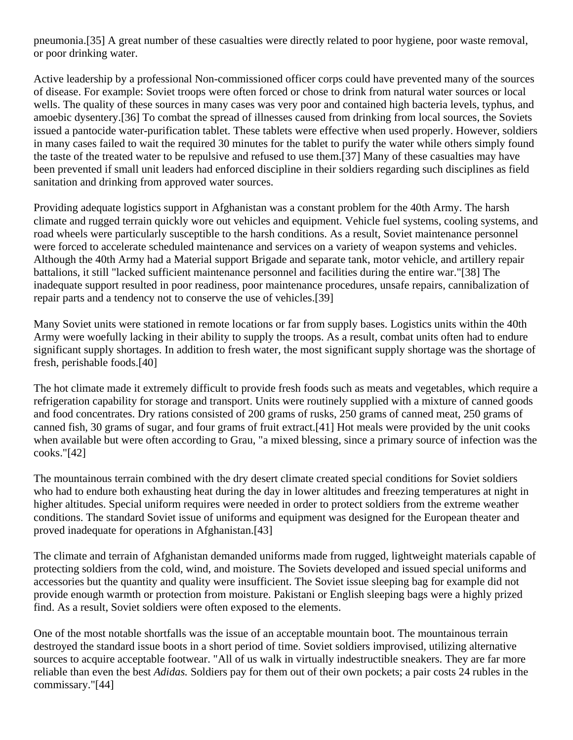pneumonia.[35] A great number of these casualties were directly related to poor hygiene, poor waste removal, or poor drinking water.

Active leadership by a professional Non-commissioned officer corps could have prevented many of the sources of disease. For example: Soviet troops were often forced or chose to drink from natural water sources or local wells. The quality of these sources in many cases was very poor and contained high bacteria levels, typhus, and amoebic dysentery.[36] To combat the spread of illnesses caused from drinking from local sources, the Soviets issued a pantocide water-purification tablet. These tablets were effective when used properly. However, soldiers in many cases failed to wait the required 30 minutes for the tablet to purify the water while others simply found the taste of the treated water to be repulsive and refused to use them.[37] Many of these casualties may have been prevented if small unit leaders had enforced discipline in their soldiers regarding such disciplines as field sanitation and drinking from approved water sources.

Providing adequate logistics support in Afghanistan was a constant problem for the 40th Army. The harsh climate and rugged terrain quickly wore out vehicles and equipment. Vehicle fuel systems, cooling systems, and road wheels were particularly susceptible to the harsh conditions. As a result, Soviet maintenance personnel were forced to accelerate scheduled maintenance and services on a variety of weapon systems and vehicles. Although the 40th Army had a Material support Brigade and separate tank, motor vehicle, and artillery repair battalions, it still "lacked sufficient maintenance personnel and facilities during the entire war."[38] The inadequate support resulted in poor readiness, poor maintenance procedures, unsafe repairs, cannibalization of repair parts and a tendency not to conserve the use of vehicles.[39]

Many Soviet units were stationed in remote locations or far from supply bases. Logistics units within the 40th Army were woefully lacking in their ability to supply the troops. As a result, combat units often had to endure significant supply shortages. In addition to fresh water, the most significant supply shortage was the shortage of fresh, perishable foods.[40]

The hot climate made it extremely difficult to provide fresh foods such as meats and vegetables, which require a refrigeration capability for storage and transport. Units were routinely supplied with a mixture of canned goods and food concentrates. Dry rations consisted of 200 grams of rusks, 250 grams of canned meat, 250 grams of canned fish, 30 grams of sugar, and four grams of fruit extract.[41] Hot meals were provided by the unit cooks when available but were often according to Grau, "a mixed blessing, since a primary source of infection was the cooks."[42]

The mountainous terrain combined with the dry desert climate created special conditions for Soviet soldiers who had to endure both exhausting heat during the day in lower altitudes and freezing temperatures at night in higher altitudes. Special uniform requires were needed in order to protect soldiers from the extreme weather conditions. The standard Soviet issue of uniforms and equipment was designed for the European theater and proved inadequate for operations in Afghanistan.[43]

The climate and terrain of Afghanistan demanded uniforms made from rugged, lightweight materials capable of protecting soldiers from the cold, wind, and moisture. The Soviets developed and issued special uniforms and accessories but the quantity and quality were insufficient. The Soviet issue sleeping bag for example did not provide enough warmth or protection from moisture. Pakistani or English sleeping bags were a highly prized find. As a result, Soviet soldiers were often exposed to the elements.

One of the most notable shortfalls was the issue of an acceptable mountain boot. The mountainous terrain destroyed the standard issue boots in a short period of time. Soviet soldiers improvised, utilizing alternative sources to acquire acceptable footwear. "All of us walk in virtually indestructible sneakers. They are far more reliable than even the best *Adidas.* Soldiers pay for them out of their own pockets; a pair costs 24 rubles in the commissary."[44]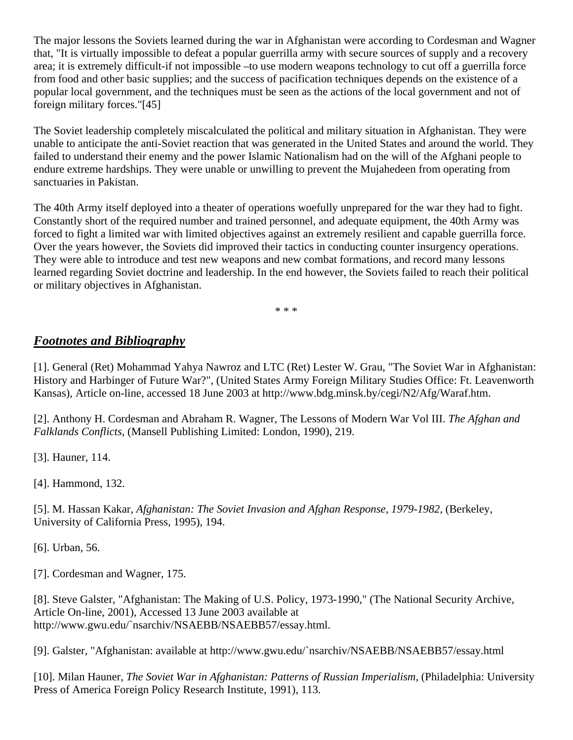The major lessons the Soviets learned during the war in Afghanistan were according to Cordesman and Wagner that, "It is virtually impossible to defeat a popular guerrilla army with secure sources of supply and a recovery area; it is extremely difficult-if not impossible –to use modern weapons technology to cut off a guerrilla force from food and other basic supplies; and the success of pacification techniques depends on the existence of a popular local government, and the techniques must be seen as the actions of the local government and not of foreign military forces."[45]

The Soviet leadership completely miscalculated the political and military situation in Afghanistan. They were unable to anticipate the anti-Soviet reaction that was generated in the United States and around the world. They failed to understand their enemy and the power Islamic Nationalism had on the will of the Afghani people to endure extreme hardships. They were unable or unwilling to prevent the Mujahedeen from operating from sanctuaries in Pakistan.

The 40th Army itself deployed into a theater of operations woefully unprepared for the war they had to fight. Constantly short of the required number and trained personnel, and adequate equipment, the 40th Army was forced to fight a limited war with limited objectives against an extremely resilient and capable guerrilla force. Over the years however, the Soviets did improved their tactics in conducting counter insurgency operations. They were able to introduce and test new weapons and new combat formations, and record many lessons learned regarding Soviet doctrine and leadership. In the end however, the Soviets failed to reach their political or military objectives in Afghanistan.

\* \* \*

## *[Footnotes and Bibliography](http://www.militaryhistoryonline.com/20thcentury/articles/sovietexperience.aspx)*

[1]. General (Ret) Mohammad Yahya Nawroz and LTC (Ret) Lester W. Grau, "The Soviet War in Afghanistan: History and Harbinger of Future War?", (United States Army Foreign Military Studies Office: Ft. Leavenworth Kansas), Article on-line, accessed 18 June 2003 at http://www.bdg.minsk.by/cegi/N2/Afg/Waraf.htm.

[2]. Anthony H. Cordesman and Abraham R. Wagner, The Lessons of Modern War Vol III. *The Afghan and Falklands Conflicts,* (Mansell Publishing Limited: London, 1990), 219.

[3]. Hauner, 114.

[4]. Hammond, 132.

[5]. M. Hassan Kakar, *Afghanistan: The Soviet Invasion and Afghan Response, 1979-1982,* (Berkeley, University of California Press, 1995), 194.

[6]. Urban, 56.

[7]. Cordesman and Wagner, 175.

[8]. Steve Galster, "Afghanistan: The Making of U.S. Policy, 1973-1990," (The National Security Archive, Article On-line, 2001), Accessed 13 June 2003 available at http://www.gwu.edu/`nsarchiv/NSAEBB/NSAEBB57/essay.html.

[9]. Galster, "Afghanistan: available at http://www.gwu.edu/`nsarchiv/NSAEBB/NSAEBB57/essay.html

[10]. Milan Hauner, *The Soviet War in Afghanistan: Patterns of Russian Imperialism,* (Philadelphia: University Press of America Foreign Policy Research Institute, 1991), 113.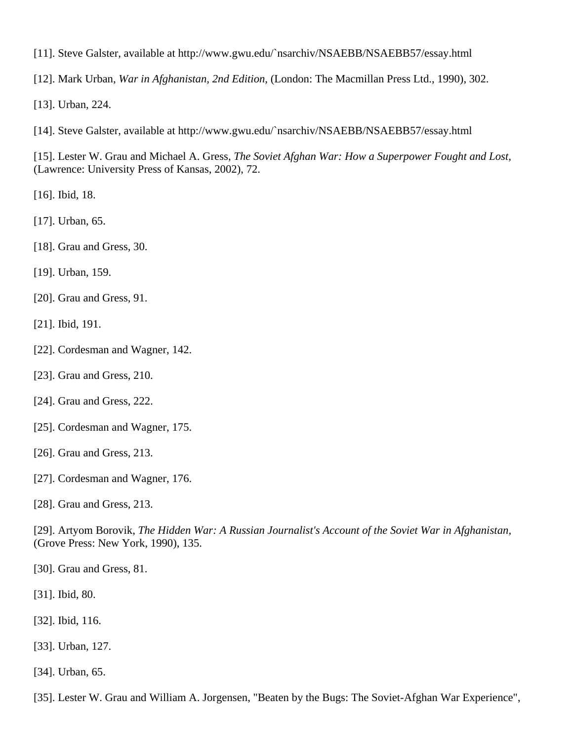[11]. Steve Galster, available at http://www.gwu.edu/`nsarchiv/NSAEBB/NSAEBB57/essay.html

[12]. Mark Urban, *War in Afghanistan, 2nd Edition,* (London: The Macmillan Press Ltd., 1990), 302.

[13]. Urban, 224.

[14]. Steve Galster, available at http://www.gwu.edu/`nsarchiv/NSAEBB/NSAEBB57/essay.html

[15]. Lester W. Grau and Michael A. Gress, *The Soviet Afghan War: How a Superpower Fought and Lost,* (Lawrence: University Press of Kansas, 2002), 72.

[16]. Ibid, 18.

- [17]. Urban, 65.
- [18]. Grau and Gress, 30.
- [19]. Urban, 159.
- [20]. Grau and Gress, 91.
- [21]. Ibid, 191.
- [22]. Cordesman and Wagner, 142.
- [23]. Grau and Gress, 210.
- [24]. Grau and Gress, 222.
- [25]. Cordesman and Wagner, 175.
- [26]. Grau and Gress, 213.
- [27]. Cordesman and Wagner, 176.
- [28]. Grau and Gress, 213.

[29]. Artyom Borovik, *The Hidden War: A Russian Journalist's Account of the Soviet War in Afghanistan,* (Grove Press: New York, 1990), 135.

- [30]. Grau and Gress, 81.
- [31]. Ibid, 80.
- [32]. Ibid, 116.
- [33]. Urban, 127.
- [34]. Urban, 65.

[35]. Lester W. Grau and William A. Jorgensen, "Beaten by the Bugs: The Soviet-Afghan War Experience",